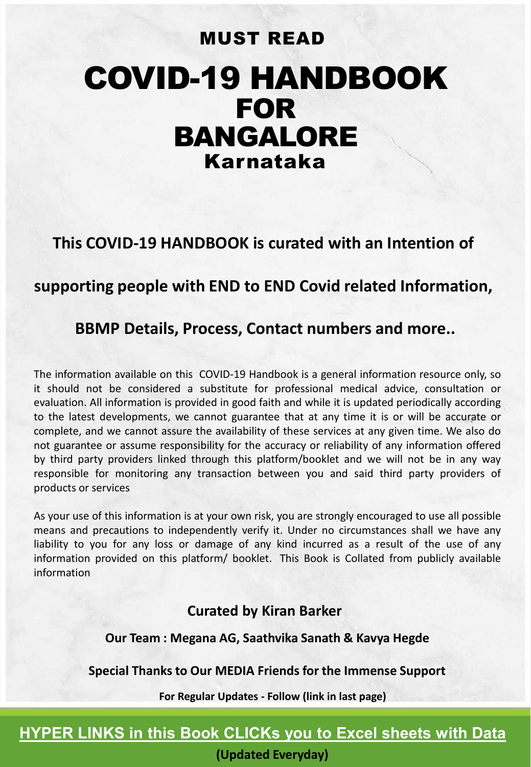# COVID-19 HANDBOOK FOR BANGALORE Karnataka MUST READ

**This COVID-19 HANDBOOK is curated with an Intention of** 

### **supporting people with END to END Covid related Information,**

### **BBMP Details, Process, Contact numbers and more..**

The information available on this COVID-19 Handbook is a general information resource only, so it should not be considered a substitute for professional medical advice, consultation or evaluation. All information is provided in good faith and while it is updated periodically according to the latest developments, we cannot guarantee that at any time it is or will be accurate or complete, and we cannot assure the availability of these services at any given time. We also do not guarantee or assume responsibility for the accuracy or reliability of any information offered by third party providers linked through this platform/booklet and we will not be in any way responsible for monitoring any transaction between you and said third party providers of products or services

As your use of this information is at your own risk, you are strongly encouraged to use all possible means and precautions to independently verify it. Under no circumstances shall we have any liability to you for any loss or damage of any kind incurred as a result of the use of any information provided on this platform/ booklet. This Book is Collated from publicly available information

#### **Curated by Kiran Barker**

**Our Team : Megana AG, Saathvika Sanath & Kavya Hegde**

#### **Special Thanks to Our MEDIA Friends for the Immense Support**

**For Regular Updates - Follow (link in last page)**

### **HYPER LINKS in this Book CLICKs you to Excel sheets with Data**

**(Updated Everyday)**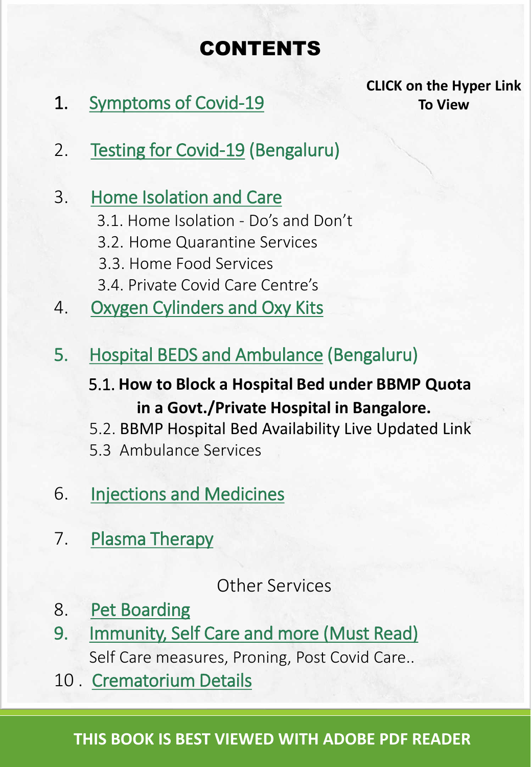# CONTENTS

<span id="page-1-0"></span>1. [Symptoms of Covid-19](#page-2-0)

**CLICK on the Hyper Link To View**

2. [Testing for Covid-19](#page-3-0) (Bengaluru)

## 3. [Home Isolation and Care](#page-4-0)

- 3.1. Home Isolation Do's and Don't
- 3.2. Home Quarantine Services
- 3.3. Home Food Services
- 3.4. Private Covid Care Centre's
- 4. [Oxygen Cylinders and Oxy Kits](#page-6-0)
- 5. [Hospital BEDS and Ambulance](#page-7-0) (Bengaluru)
	- 5.1. **How to Block a Hospital Bed under BBMP Quota in a Govt./Private Hospital in Bangalore.**
	- 5.2. BBMP Hospital Bed Availability Live Updated Link
	- 5.3 Ambulance Services
- 6. [Injections and Medicines](#page-9-0)
- 7. [Plasma Therapy](#page-10-0)

## Other Services

- 8. [Pet Boarding](#page-11-0)
- 9. [Immunity, Self Care and more \(Must Read\)](#page-12-0) Self Care measures, Proning, Post Covid Care..
- 10 . [Crematorium Details](#page-14-0)

### **THIS BOOK IS BEST VIEWED WITH ADOBE PDF READER**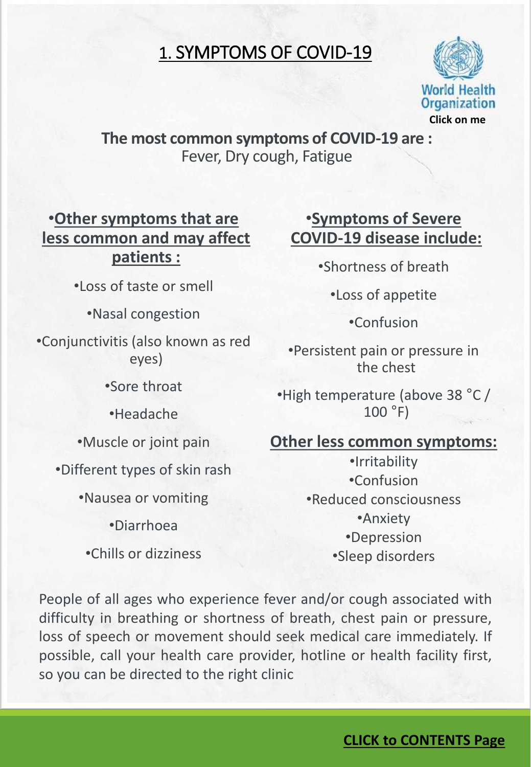## 1. SYMPTOMS OF COVID-19



### <span id="page-2-0"></span>**The most common symptoms of COVID-19 are :** Fever, Dry cough, Fatigue

•**Other symptoms that are less common and may affect patients :**

•Loss of taste or smell

•Nasal congestion

•Conjunctivitis (also known as red eyes)

•Sore throat

•Headache

•Muscle or joint pain

•Different types of skin rash

•Nausea or vomiting

•Diarrhoea

•Chills or dizziness

### •**Symptoms of Severe COVID‐19 disease include:**

•Shortness of breath

•Loss of appetite

•Confusion

•Persistent pain or pressure in the chest

•High temperature (above 38 °C / 100 °F)

### **Other less common symptoms:**

•Irritability •Confusion •Reduced consciousness •Anxiety •Depression •Sleep disorders

People of all ages who experience fever and/or cough associated with difficulty in breathing or shortness of breath, chest pain or pressure, loss of speech or movement should seek medical care immediately. If possible, call your health care provider, hotline or health facility first, so you can be directed to the right clinic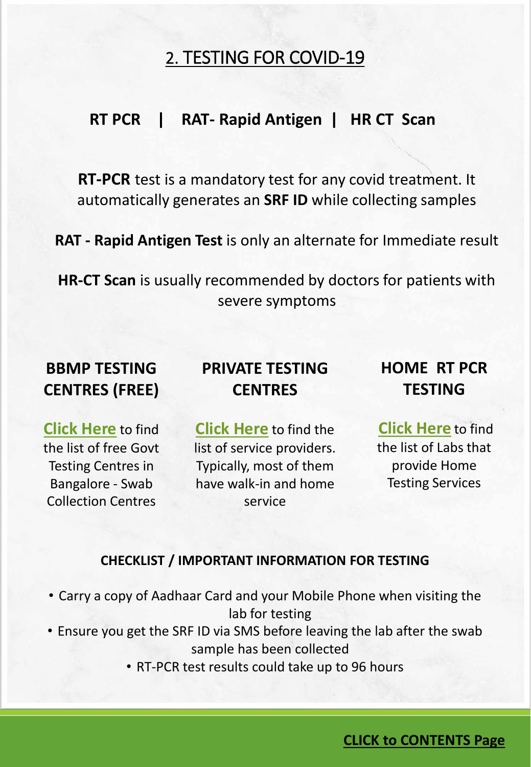## 2. TESTING FOR COVID-19

### <span id="page-3-0"></span>**RT PCR | RAT- Rapid Antigen | HR CT Scan**

**RT-PCR** test is a mandatory test for any covid treatment. It automatically generates an **SRF ID** while collecting samples

**RAT - Rapid Antigen Test** is only an alternate for Immediate result

**HR-CT Scan** is usually recommended by doctors for patients with severe symptoms

## **BBMP TESTING CENTRES (FREE)**

## **PRIVATE TESTING CENTRES**

## **HOME RT PCR TESTING**

**[Click Here](https://docs.google.com/spreadsheets/d/1n47dxKqARzdTHA87Rflgqz40-U_MX6710c8-ds75NGw/edit#gid=793500021)** to find the list of free Govt Testing Centres in Bangalore - Swab Collection Centres

**[Click Here](https://docs.google.com/spreadsheets/d/1n47dxKqARzdTHA87Rflgqz40-U_MX6710c8-ds75NGw/edit#gid=926083211)** to find the list of service providers. Typically, most of them have walk-in and home service

**[Click Here](https://docs.google.com/spreadsheets/d/1n47dxKqARzdTHA87Rflgqz40-U_MX6710c8-ds75NGw/edit#gid=1094720591)** to find the list of Labs that provide Home Testing Services

#### **CHECKLIST / IMPORTANT INFORMATION FOR TESTING**

- Carry a copy of Aadhaar Card and your Mobile Phone when visiting the lab for testing
- Ensure you get the SRF ID via SMS before leaving the lab after the swab sample has been collected
	- RT-PCR test results could take up to 96 hours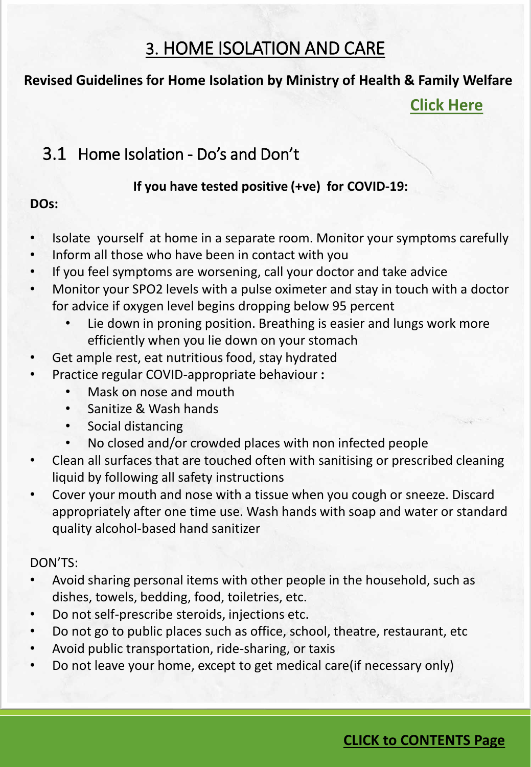## 3. HOME ISOLATION AND CARE

### <span id="page-4-0"></span>**Revised Guidelines for Home Isolation by Ministry of Health & Family Welfare**

**[Click Here](https://documentcloud.adobe.com/link/track?uri=urn:aaid:scds:US:15b8537c-e9cf-4577-8fb7-788024fcf1fa)**

## 3.1 Home Isolation - Do's and Don't

#### **If you have tested positive (+ve) for COVID-19:**

### **DOs:**

- Isolate yourself at home in a separate room. Monitor your symptoms carefully
- Inform all those who have been in contact with you
- If you feel symptoms are worsening, call your doctor and take advice
- Monitor your SPO2 levels with a pulse oximeter and stay in touch with a doctor for advice if oxygen level begins dropping below 95 percent
	- Lie down in proning position. Breathing is easier and lungs work more efficiently when you lie down on your stomach
- Get ample rest, eat nutritious food, stay hydrated
- Practice regular COVID-appropriate behaviour **:**
	- Mask on nose and mouth
	- Sanitize & Wash hands
	- Social distancing
	- No closed and/or crowded places with non infected people
- Clean all surfaces that are touched often with sanitising or prescribed cleaning liquid by following all safety instructions
- Cover your mouth and nose with a tissue when you cough or sneeze. Discard appropriately after one time use. Wash hands with soap and water or standard quality alcohol-based hand sanitizer

#### DON'TS:

- Avoid sharing personal items with other people in the household, such as dishes, towels, bedding, food, toiletries, etc.
- Do not self-prescribe steroids, injections etc.
- Do not go to public places such as office, school, theatre, restaurant, etc
- Avoid public transportation, ride-sharing, or taxis
- Do not leave your home, except to get medical care(if necessary only)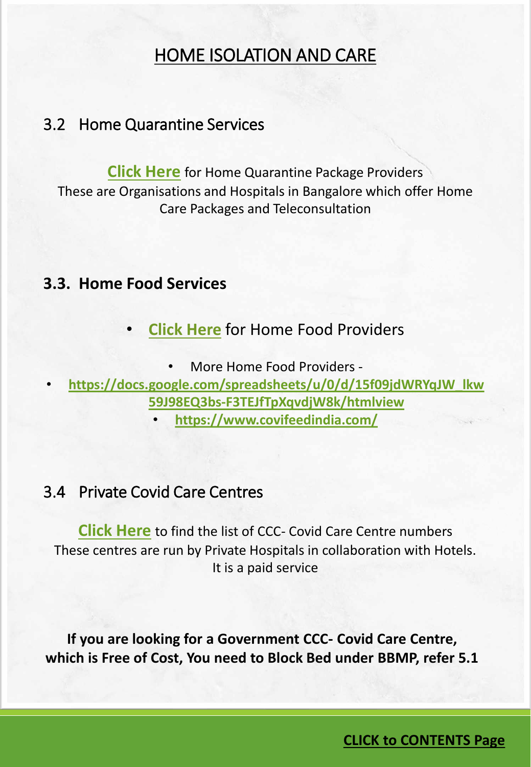## HOME ISOLATION AND CARE

### 3.2 Home Quarantine Services

**[Click Here](https://docs.google.com/spreadsheets/d/1n47dxKqARzdTHA87Rflgqz40-U_MX6710c8-ds75NGw/edit#gid=1748254857)** for Home Quarantine Package Providers These are Organisations and Hospitals in Bangalore which offer Home Care Packages and Teleconsultation

### **3.3. Home Food Services**

• **[Click Here](https://docs.google.com/spreadsheets/d/1n47dxKqARzdTHA87Rflgqz40-U_MX6710c8-ds75NGw/edit#gid=1011487087)** for Home Food Providers

• More Home Food Providers -

• **[https://docs.google.com/spreadsheets/u/0/d/15f09jdWRYqJW\\_lkw](https://docs.google.com/spreadsheets/u/0/d/15f09jdWRYqJW_lkw59J98EQ3bs-F3TEJfTpXqvdjW8k/htmlview) 59J98EQ3bs-F3TEJfTpXqvdjW8k/htmlview**

• **<https://www.covifeedindia.com/>**

### 3.4 Private Covid Care Centres

**[Click Here](https://docs.google.com/spreadsheets/d/1n47dxKqARzdTHA87Rflgqz40-U_MX6710c8-ds75NGw/edit#gid=1817057331)** to find the list of CCC- Covid Care Centre numbers These centres are run by Private Hospitals in collaboration with Hotels. It is a paid service

**If you are looking for a Government CCC- Covid Care Centre, which is Free of Cost, You need to Block Bed under BBMP, refer 5.1**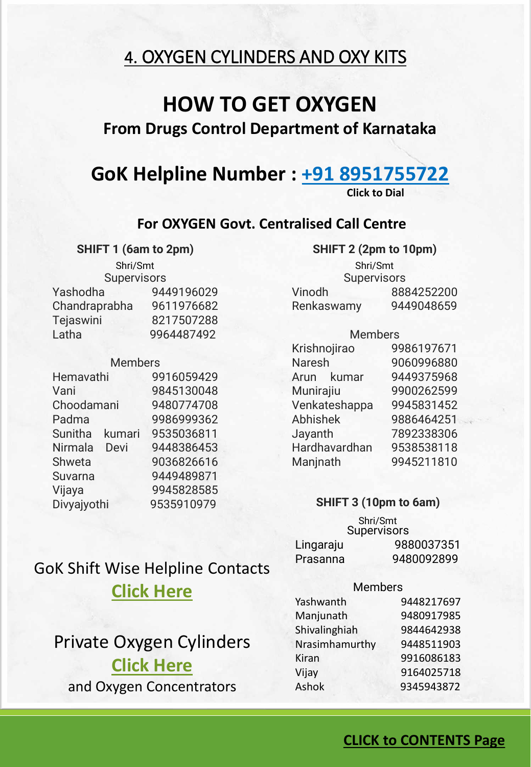## <span id="page-6-0"></span>4. OXYGEN CYLINDERS AND OXY KITS

## **HOW TO GET OXYGEN**

### **From Drugs Control Department of Karnataka**

## **GoK Helpline Number : [+91 8951755722](tel://(8951755722)/)**

**Click to Dial**

#### **For OXYGEN Govt. Centralised Call Centre**

#### **SHIFT 1 (6am to 2pm)**

**Supervisors** Yashodha 9449196029 Chandraprabha 9611976682 Tejaswini 8217507288 Latha 9964487492

#### **Members**

| Hemavathi                | 9916059429 |
|--------------------------|------------|
| Vani                     | 9845130048 |
| Choodamani               | 9480774708 |
| Padma                    | 9986999362 |
| <b>Sunitha</b><br>kumari | 9535036811 |
| Devi<br>Nirmala          | 9448386453 |
| Shweta                   | 9036826616 |
| Suvarna                  | 9449489871 |
| Vijaya                   | 9945828585 |
| Divyajyothi              | 9535910979 |

#### **SHIFT 2 (2pm to 10pm)**

**Supervisors** Vinodh 8884252200 Renkaswamy 9449048659 Shri/Smt Shri/Smt

#### Members

| Krishnojirao  | 9986197671 |
|---------------|------------|
| <b>Naresh</b> | 9060996880 |
| Arun kumar    | 9449375968 |
| Munirajiu     | 9900262599 |
| Venkateshappa | 9945831452 |
| Abhishek      | 9886464251 |
| Jayanth       | 7892338306 |
| Hardhavardhan | 9538538118 |
| Manjnath      | 9945211810 |
|               |            |

#### **SHIFT 3 (10pm to 6am)**

**Supervisors** Lingaraju 9880037351 Prasanna 9480092899 Shri/Smt

## GoK Shift Wise Helpline Contacts **[Click Here](https://docs.google.com/spreadsheets/d/1n47dxKqARzdTHA87Rflgqz40-U_MX6710c8-ds75NGw/edit#gid=158390590)**

## Private Oxygen Cylinders **[Click Here](https://docs.google.com/spreadsheets/d/1n47dxKqARzdTHA87Rflgqz40-U_MX6710c8-ds75NGw/edit#gid=523611610)** and Oxygen Concentrators

#### Members

| Yashwanth      | 9448217697 |
|----------------|------------|
| Manjunath      | 9480917985 |
| Shivalinghiah  | 9844642938 |
| Nrasimhamurthy | 9448511903 |
| Kiran          | 9916086183 |
| Vijay          | 9164025718 |
| Ashok          | 9345943872 |
|                |            |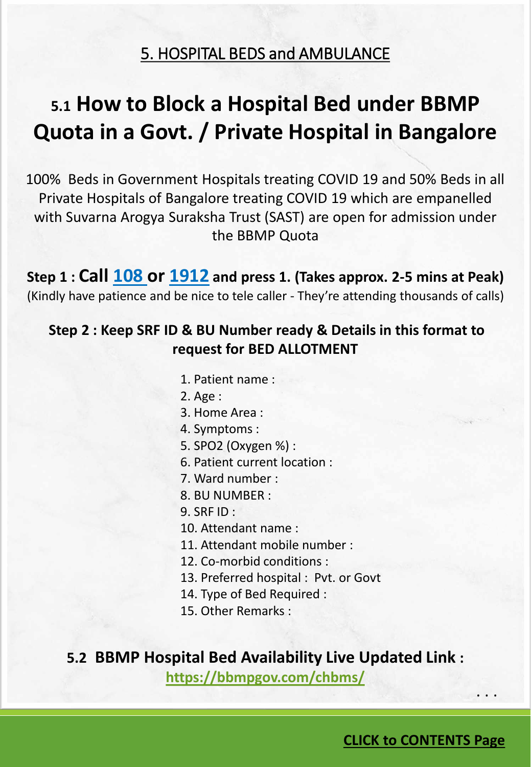### 5. HOSPITAL BEDS and AMBULANCE

# <span id="page-7-0"></span>**5.1 How to Block a Hospital Bed under BBMP Quota in a Govt. / Private Hospital in Bangalore**

100% Beds in Government Hospitals treating COVID 19 and 50% Beds in all Private Hospitals of Bangalore treating COVID 19 which are empanelled with Suvarna Arogya Suraksha Trust (SAST) are open for admission under the BBMP Quota

**Step 1 : Call [108 o](tel://(108)/)r [1912](tel://(1912)/) and press 1. (Takes approx. 2-5 mins at Peak)** (Kindly have patience and be nice to tele caller - They're attending thousands of calls)

### **Step 2 : Keep SRF ID & BU Number ready & Details in this format to request for BED ALLOTMENT**

- 1. Patient name :
- 2. Age :
- 3. Home Area :
- 4. Symptoms :
- 5. SPO2 (Oxygen %) :
- 6. Patient current location :
- 7. Ward number :
- 8. BU NUMBER :

9. SRF ID :

- 10. Attendant name :
- 11. Attendant mobile number :
- 12. Co-morbid conditions :
- 13. Preferred hospital : Pvt. or Govt
- 14. Type of Bed Required :
- 15. Other Remarks :

#### **5.2 BBMP Hospital Bed Availability Live Updated Link :**

**<https://bbmpgov.com/chbms/>**

. . .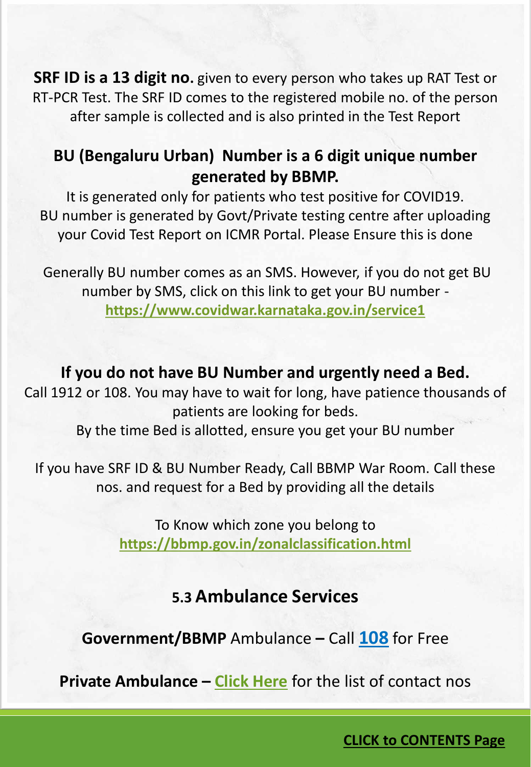**SRF ID is a 13 digit no.** given to every person who takes up RAT Test or RT-PCR Test. The SRF ID comes to the registered mobile no. of the person after sample is collected and is also printed in the Test Report

## **BU (Bengaluru Urban) Number is a 6 digit unique number generated by BBMP.**

It is generated only for patients who test positive for COVID19. BU number is generated by Govt/Private testing centre after uploading your Covid Test Report on ICMR Portal. Please Ensure this is done

Generally BU number comes as an SMS. However, if you do not get BU number by SMS, click on this link to get your BU number **<https://www.covidwar.karnataka.gov.in/service1>**

### **If you do not have BU Number and urgently need a Bed.**

Call 1912 or 108. You may have to wait for long, have patience thousands of patients are looking for beds.

By the time Bed is allotted, ensure you get your BU number

If you have SRF ID & BU Number Ready, Call BBMP War Room. Call these nos. and request for a Bed by providing all the details

> To Know which zone you belong to **<https://bbmp.gov.in/zonalclassification.html>**

## **5.3 Ambulance Services**

**Government/BBMP** Ambulance **–** Call **[108](tel://(108)/)** for Free

**Private Ambulance – [Click Here](https://docs.google.com/spreadsheets/d/1n47dxKqARzdTHA87Rflgqz40-U_MX6710c8-ds75NGw/edit#gid=712870918)** for the list of contact nos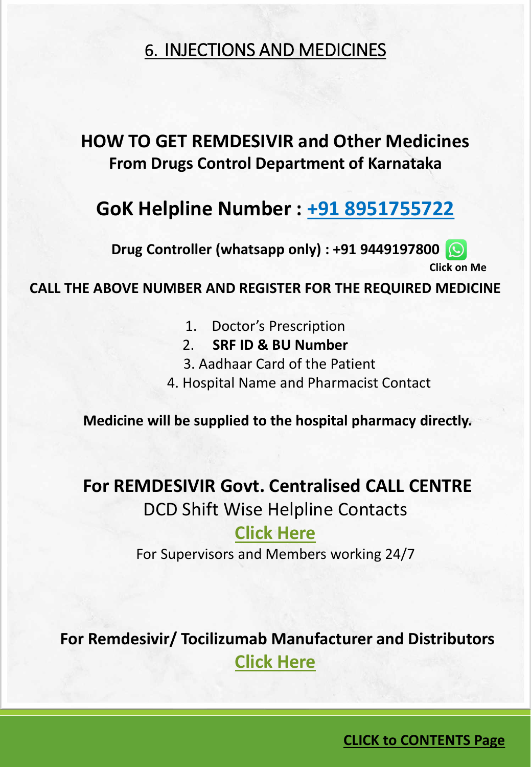## <span id="page-9-0"></span>6. INJECTIONS AND MEDICINES

## **HOW TO GET REMDESIVIR and Other Medicines From Drugs Control Department of Karnataka**

## **GoK Helpline Number : [+91 8951755722](tel://(8951755722)/)**

**Drug Controller (whatsapp only) : +91 9449197800**

**[Click on M](https://wa.me/+919449197800)e**

**CALL THE ABOVE NUMBER AND REGISTER FOR THE REQUIRED MEDICINE**

- 1. Doctor's Prescription
- 2. **SRF ID & BU Number**
- 3. Aadhaar Card of the Patient
- 4. Hospital Name and Pharmacist Contact

**Medicine will be supplied to the hospital pharmacy directly.**

## **For REMDESIVIR Govt. Centralised CALL CENTRE**

DCD Shift Wise Helpline Contacts

### **[Click Here](https://docs.google.com/spreadsheets/d/1n47dxKqARzdTHA87Rflgqz40-U_MX6710c8-ds75NGw/edit#gid=158390590)**

For Supervisors and Members working 24/7

**For Remdesivir/ Tocilizumab Manufacturer and Distributors [Click Here](https://docs.google.com/spreadsheets/d/1n47dxKqARzdTHA87Rflgqz40-U_MX6710c8-ds75NGw/edit#gid=696037800)**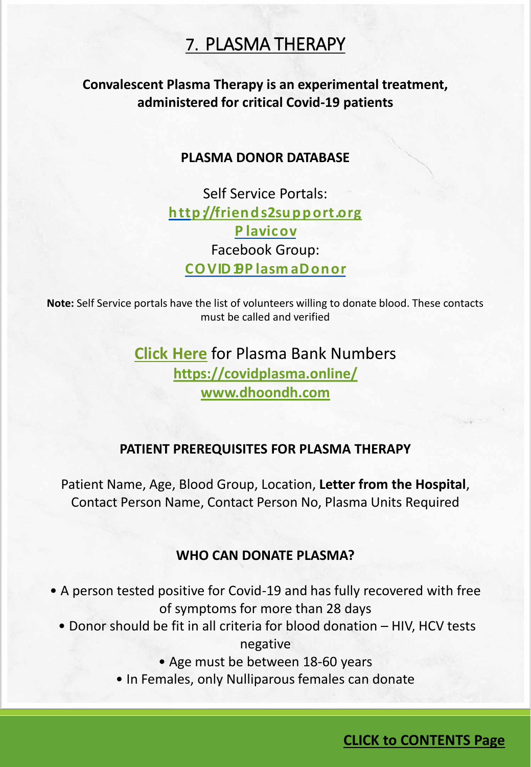## 7. PLASMA THERAPY

### <span id="page-10-0"></span>**Convalescent Plasma Therapy is an experimental treatment, administered for critical Covid-19 patients**

#### **PLASMA DONOR DATABASE**

Self Service Portals: **[http://friends2support.org](http://friends2support.org/inner/news/searchresult.aspx) P [lavicov](http://clingen.igib.res.in/plavicov/)** Facebook Group: **[COVID19P](https://www.facebook.com/groups/COVID19PlasmaDonorRecipientHelpIndiaGroup/) lasm aDonor**

**Note:** Self Service portals have the list of volunteers willing to donate blood. These contacts must be called and verified

> **[Click Here](https://docs.google.com/spreadsheets/d/1n47dxKqARzdTHA87Rflgqz40-U_MX6710c8-ds75NGw/edit#gid=1652821243)** for Plasma Bank Numbers **<https://covidplasma.online/> [www.dhoondh.com](http://www.dhoondh.com/)**

#### **PATIENT PREREQUISITES FOR PLASMA THERAPY**

Patient Name, Age, Blood Group, Location, **Letter from the Hospital**, Contact Person Name, Contact Person No, Plasma Units Required

#### **WHO CAN DONATE PLASMA?**

- A person tested positive for Covid-19 and has fully recovered with free of symptoms for more than 28 days
	- Donor should be fit in all criteria for blood donation HIV, HCV tests negative
		- Age must be between 18-60 years
		- In Females, only Nulliparous females can donate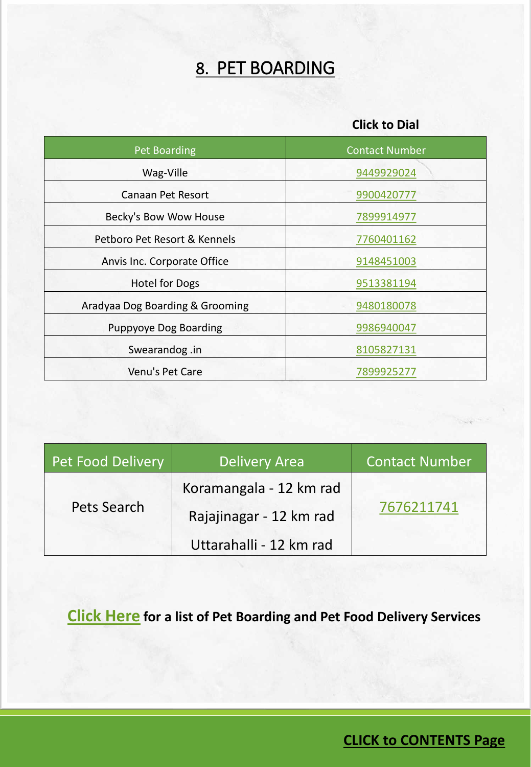# 8. PET BOARDING

#### **Click to Dial**

<span id="page-11-0"></span>

| Pet Boarding                    | <b>Contact Number</b> |  |
|---------------------------------|-----------------------|--|
| Wag-Ville                       | 9449929024            |  |
| Canaan Pet Resort               | 9900420777            |  |
| Becky's Bow Wow House           | 7899914977            |  |
| Petboro Pet Resort & Kennels    | 7760401162            |  |
| Anvis Inc. Corporate Office     | 9148451003            |  |
| <b>Hotel for Dogs</b>           | 9513381194            |  |
| Aradyaa Dog Boarding & Grooming | 9480180078            |  |
| Puppyoye Dog Boarding           | 9986940047            |  |
| Swearandog.in                   | 8105827131            |  |
| Venu's Pet Care                 | 7899925277            |  |

| Pet Food Delivery | <b>Delivery Area</b>    | Contact Number |  |
|-------------------|-------------------------|----------------|--|
| Pets Search       | Koramangala - 12 km rad |                |  |
|                   | Rajajinagar - 12 km rad | 7676211741     |  |
|                   | Uttarahalli - 12 km rad |                |  |

**[Click Here](https://docs.google.com/spreadsheets/d/1n47dxKqARzdTHA87Rflgqz40-U_MX6710c8-ds75NGw/edit#gid=775196720) for a list of Pet Boarding and Pet Food Delivery Services**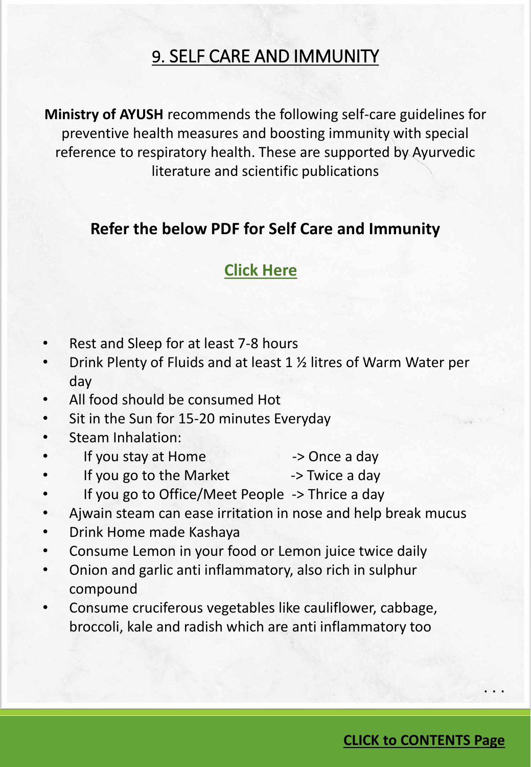## 9. SELF CARE AND IMMUNITY

<span id="page-12-0"></span>**Ministry of AYUSH** recommends the following self-care guidelines for preventive health measures and boosting immunity with special reference to respiratory health. These are supported by Ayurvedic literature and scientific publications

### **Refer the below PDF for Self Care and Immunity**

## **[Click Here](https://documentcloud.adobe.com/link/track?uri=urn:aaid:scds:US:e53d5fd3-b327-40fb-acc5-8a014a76cc85)**

- Rest and Sleep for at least 7-8 hours
- Drink Plenty of Fluids and at least 1 ½ litres of Warm Water per day
- All food should be consumed Hot
- Sit in the Sun for 15-20 minutes Everyday
- Steam Inhalation:
- If you stay at Home  $\rightarrow$  Once a day
- If you go to the Market -> Twice a day
- If you go to Office/Meet People -> Thrice a day
- Ajwain steam can ease irritation in nose and help break mucus
- Drink Home made Kashaya
- Consume Lemon in your food or Lemon juice twice daily
- Onion and garlic anti inflammatory, also rich in sulphur compound
- Consume cruciferous vegetables like cauliflower, cabbage, broccoli, kale and radish which are anti inflammatory too

**CLICK to [CONTENTS Page](#page-1-0)**

. . .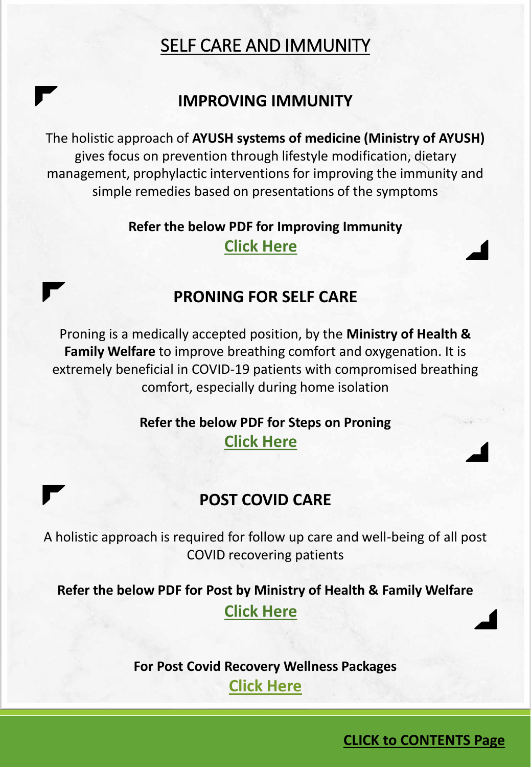## SELF CARE AND IMMUNITY

### **IMPROVING IMMUNITY**

The holistic approach of **AYUSH systems of medicine (Ministry of AYUSH)** gives focus on prevention through lifestyle modification, dietary management, prophylactic interventions for improving the immunity and simple remedies based on presentations of the symptoms

### **Refer the below PDF for Improving Immunity [Click Here](https://documentcloud.adobe.com/link/track?uri=urn:aaid:scds:US:55efee0a-38ff-40e1-af6c-1f4fce731e39)**

### **PRONING FOR SELF CARE**

Proning is a medically accepted position, by the **Ministry of Health & Family Welfare** to improve breathing comfort and oxygenation. It is extremely beneficial in COVID-19 patients with compromised breathing comfort, especially during home isolation

### **Refer the below PDF for Steps on Proning [Click Here](https://documentcloud.adobe.com/link/track?uri=urn:aaid:scds:US:a932d6a9-ffab-42a7-94c0-72e11213fe55)**

### **POST COVID CARE**

A holistic approach is required for follow up care and well-being of all post COVID recovering patients

**Refer the below PDF for Post by Ministry of Health & Family Welfare [Click Here](https://documentcloud.adobe.com/link/track?uri=urn:aaid:scds:US:3f74a542-bc25-4d6c-9ccc-b4aed1be4c7c)**

> **For Post Covid Recovery Wellness Packages [Click Here](https://docs.google.com/spreadsheets/d/1n47dxKqARzdTHA87Rflgqz40-U_MX6710c8-ds75NGw/edit#gid=1255945811)**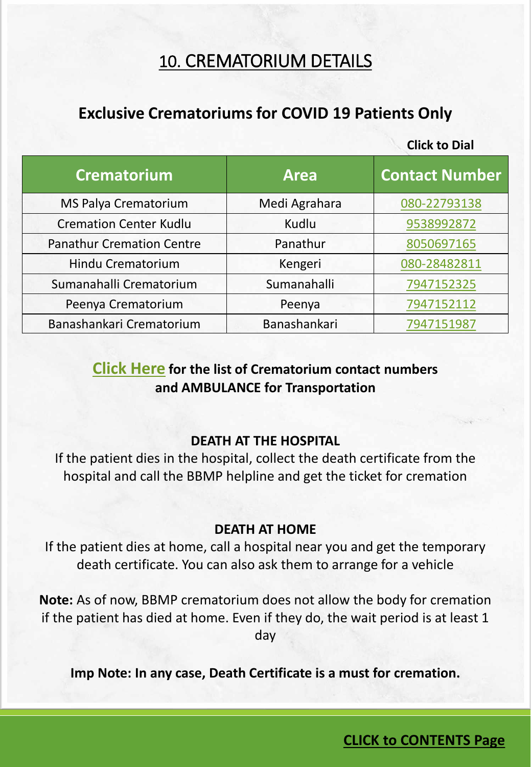## 10. CREMATORIUM DETAILS

## <span id="page-14-0"></span>**Exclusive Crematoriums for COVID 19 Patients Only**

**Click to Dial**

| <b>Crematorium</b>               | <b>Area</b>   | <b>Contact Number</b> |
|----------------------------------|---------------|-----------------------|
| <b>MS Palya Crematorium</b>      | Medi Agrahara | 080-22793138          |
| <b>Cremation Center Kudlu</b>    | Kudlu         | 9538992872            |
| <b>Panathur Cremation Centre</b> | Panathur      | 8050697165            |
| Hindu Crematorium                | Kengeri       | 080-28482811          |
| Sumanahalli Crematorium          | Sumanahalli   | 7947152325            |
| Peenya Crematorium               | Peenya        | 7947152112            |
| Banashankari Crematorium         | Banashankari  | 7947151987            |

### **[Click Here](https://docs.google.com/spreadsheets/d/1n47dxKqARzdTHA87Rflgqz40-U_MX6710c8-ds75NGw/edit#gid=1492456457) for the list of Crematorium contact numbers and AMBULANCE for Transportation**

#### **DEATH AT THE HOSPITAL**

If the patient dies in the hospital, collect the death certificate from the hospital and call the BBMP helpline and get the ticket for cremation

#### **DEATH AT HOME**

If the patient dies at home, call a hospital near you and get the temporary death certificate. You can also ask them to arrange for a vehicle

**Note:** As of now, BBMP crematorium does not allow the body for cremation if the patient has died at home. Even if they do, the wait period is at least 1 day

**Imp Note: In any case, Death Certificate is a must for cremation.**